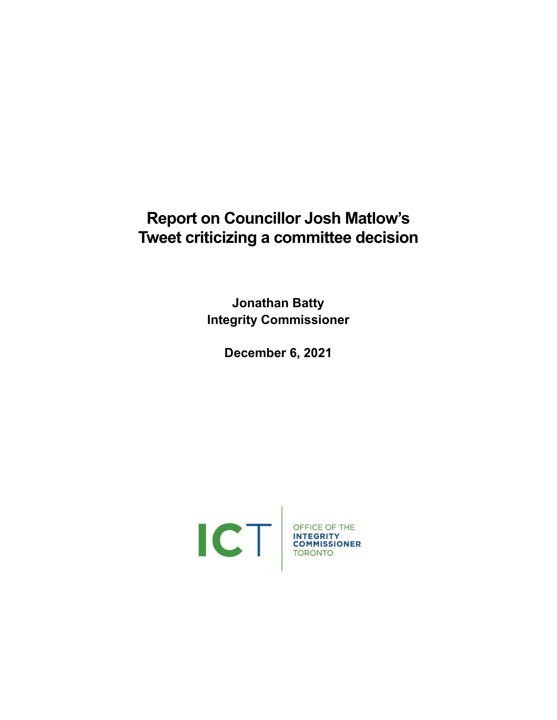# **Report on Councillor Josh Matlow's Tweet criticizing a committee decision**

**Jonathan Batty Integrity Commissioner**

**December 6, 2021**

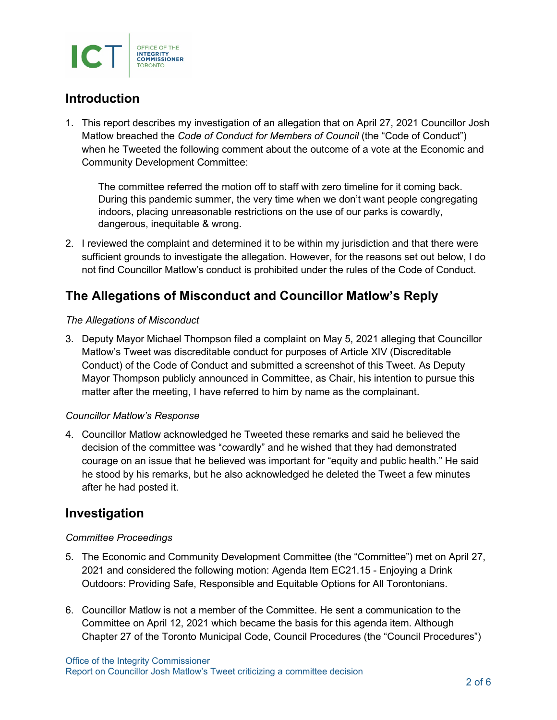

### **Introduction**

1. This report describes my investigation of an allegation that on April 27, 2021 Councillor Josh Matlow breached the *Code of Conduct for Members of Council* (the "Code of Conduct") when he Tweeted the following comment about the outcome of a vote at the Economic and Community Development Committee:

The committee referred the motion off to staff with zero timeline for it coming back. During this pandemic summer, the very time when we don't want people congregating indoors, placing unreasonable restrictions on the use of our parks is cowardly, dangerous, inequitable & wrong.

2. I reviewed the complaint and determined it to be within my jurisdiction and that there were sufficient grounds to investigate the allegation. However, for the reasons set out below, I do not find Councillor Matlow's conduct is prohibited under the rules of the Code of Conduct.

## **The Allegations of Misconduct and Councillor Matlow's Reply**

#### *The Allegations of Misconduct*

3. Deputy Mayor Michael Thompson filed a complaint on May 5, 2021 alleging that Councillor Matlow's Tweet was discreditable conduct for purposes of Article XIV (Discreditable Conduct) of the Code of Conduct and submitted a screenshot of this Tweet. As Deputy Mayor Thompson publicly announced in Committee, as Chair, his intention to pursue this matter after the meeting, I have referred to him by name as the complainant.

#### *Councillor Matlow's Response*

4. Councillor Matlow acknowledged he Tweeted these remarks and said he believed the decision of the committee was "cowardly" and he wished that they had demonstrated courage on an issue that he believed was important for "equity and public health." He said he stood by his remarks, but he also acknowledged he deleted the Tweet a few minutes after he had posted it.

### **Investigation**

#### *Committee Proceedings*

- 5. The Economic and Community Development Committee (the "Committee") met on April 27, 2021 and considered the following motion: Agenda Item EC21.15 - Enjoying a Drink Outdoors: Providing Safe, Responsible and Equitable Options for All Torontonians.
- 6. Councillor Matlow is not a member of the Committee. He sent a communication to the Committee on April 12, 2021 which became the basis for this agenda item. Although Chapter 27 of the Toronto Municipal Code, Council Procedures (the "Council Procedures")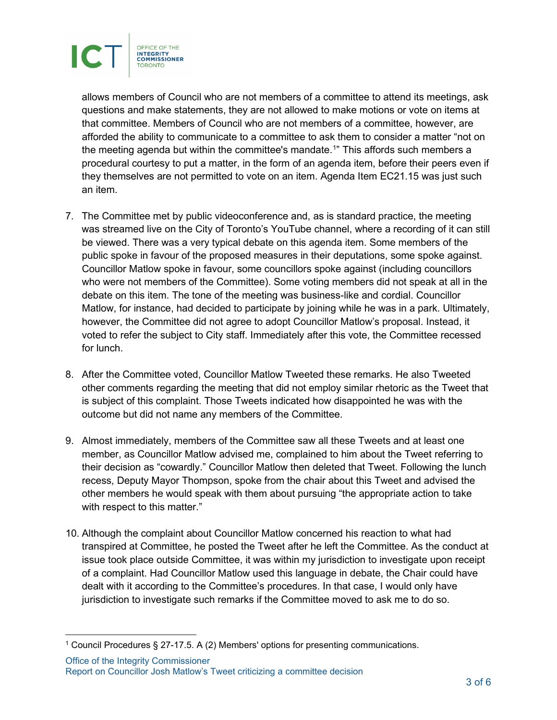

<span id="page-2-1"></span>allows members of Council who are not members of a committee to attend its meetings, ask questions and make statements, they are not allowed to make motions or vote on items at that committee. Members of Council who are not members of a committee, however, are afforded the ability to communicate to a committee to ask them to consider a matter "not on the meeting agenda but within the committee's mandate.<sup>[1](#page-2-0)</sup>" This affords such members a procedural courtesy to put a matter, in the form of an agenda item, before their peers even if they themselves are not permitted to vote on an item. Agenda Item EC21.15 was just such an item.

- 7. The Committee met by public videoconference and, as is standard practice, the meeting was streamed live on the City of Toronto's YouTube channel, where a recording of it can still be viewed. There was a very typical debate on this agenda item. Some members of the public spoke in favour of the proposed measures in their deputations, some spoke against. Councillor Matlow spoke in favour, some councillors spoke against (including councillors who were not members of the Committee). Some voting members did not speak at all in the debate on this item. The tone of the meeting was business-like and cordial. Councillor Matlow, for instance, had decided to participate by joining while he was in a park. Ultimately, however, the Committee did not agree to adopt Councillor Matlow's proposal. Instead, it voted to refer the subject to City staff. Immediately after this vote, the Committee recessed for lunch.
- 8. After the Committee voted, Councillor Matlow Tweeted these remarks. He also Tweeted other comments regarding the meeting that did not employ similar rhetoric as the Tweet that is subject of this complaint. Those Tweets indicated how disappointed he was with the outcome but did not name any members of the Committee.
- 9. Almost immediately, members of the Committee saw all these Tweets and at least one member, as Councillor Matlow advised me, complained to him about the Tweet referring to their decision as "cowardly." Councillor Matlow then deleted that Tweet. Following the lunch recess, Deputy Mayor Thompson, spoke from the chair about this Tweet and advised the other members he would speak with them about pursuing "the appropriate action to take with respect to this matter."
- 10. Although the complaint about Councillor Matlow concerned his reaction to what had transpired at Committee, he posted the Tweet after he left the Committee. As the conduct at issue took place outside Committee, it was within my jurisdiction to investigate upon receipt of a complaint. Had Councillor Matlow used this language in debate, the Chair could have dealt with it according to the Committee's procedures. In that case, I would only have jurisdiction to investigate such remarks if the Committee moved to ask me to do so.

<span id="page-2-0"></span><sup>&</sup>lt;sup>[1](#page-2-1)</sup> Council Procedures § 27-17.5. A (2) Members' options for presenting communications.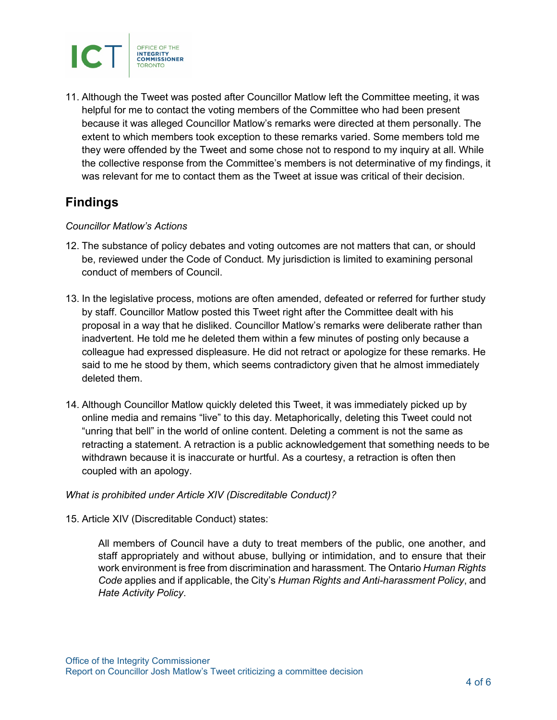

11. Although the Tweet was posted after Councillor Matlow left the Committee meeting, it was helpful for me to contact the voting members of the Committee who had been present because it was alleged Councillor Matlow's remarks were directed at them personally. The extent to which members took exception to these remarks varied. Some members told me they were offended by the Tweet and some chose not to respond to my inquiry at all. While the collective response from the Committee's members is not determinative of my findings, it was relevant for me to contact them as the Tweet at issue was critical of their decision.

### **Findings**

#### *Councillor Matlow's Actions*

- 12. The substance of policy debates and voting outcomes are not matters that can, or should be, reviewed under the Code of Conduct. My jurisdiction is limited to examining personal conduct of members of Council.
- 13. In the legislative process, motions are often amended, defeated or referred for further study by staff. Councillor Matlow posted this Tweet right after the Committee dealt with his proposal in a way that he disliked. Councillor Matlow's remarks were deliberate rather than inadvertent. He told me he deleted them within a few minutes of posting only because a colleague had expressed displeasure. He did not retract or apologize for these remarks. He said to me he stood by them, which seems contradictory given that he almost immediately deleted them.
- 14. Although Councillor Matlow quickly deleted this Tweet, it was immediately picked up by online media and remains "live" to this day. Metaphorically, deleting this Tweet could not "unring that bell" in the world of online content. Deleting a comment is not the same as retracting a statement. A retraction is a public acknowledgement that something needs to be withdrawn because it is inaccurate or hurtful. As a courtesy, a retraction is often then coupled with an apology.

#### *What is prohibited under Article XIV (Discreditable Conduct)?*

#### 15. Article XIV (Discreditable Conduct) states:

All members of Council have a duty to treat members of the public, one another, and staff appropriately and without abuse, bullying or intimidation, and to ensure that their work environment is free from discrimination and harassment. The Ontario *Human Rights Code* applies and if applicable, the City's *Human Rights and Anti-harassment Policy*, and *Hate Activity Policy*.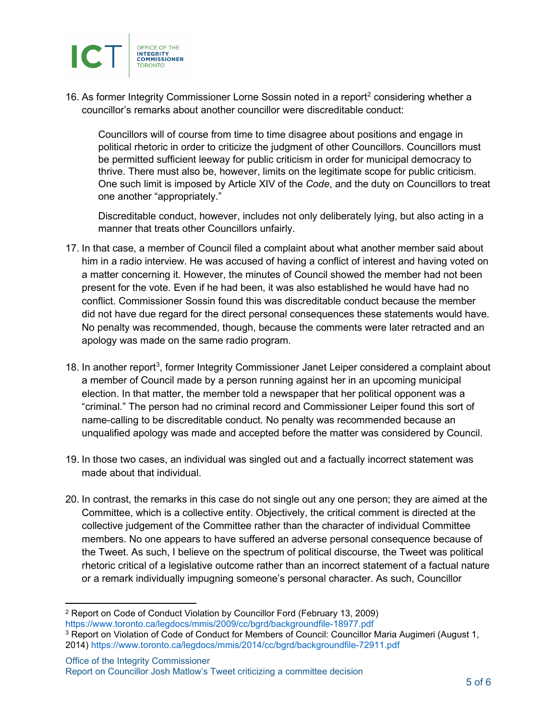

16. As former Integrity Commissioner Lorne Sossin noted in a report<sup>[2](#page-4-0)</sup> considering whether a councillor's remarks about another councillor were discreditable conduct:

<span id="page-4-1"></span>Councillors will of course from time to time disagree about positions and engage in political rhetoric in order to criticize the judgment of other Councillors. Councillors must be permitted sufficient leeway for public criticism in order for municipal democracy to thrive. There must also be, however, limits on the legitimate scope for public criticism. One such limit is imposed by Article XIV of the *Code*, and the duty on Councillors to treat one another "appropriately."

Discreditable conduct, however, includes not only deliberately lying, but also acting in a manner that treats other Councillors unfairly.

- 17. In that case, a member of Council filed a complaint about what another member said about him in a radio interview. He was accused of having a conflict of interest and having voted on a matter concerning it. However, the minutes of Council showed the member had not been present for the vote. Even if he had been, it was also established he would have had no conflict. Commissioner Sossin found this was discreditable conduct because the member did not have due regard for the direct personal consequences these statements would have. No penalty was recommended, though, because the comments were later retracted and an apology was made on the same radio program.
- <span id="page-4-3"></span>18. In another report<sup>[3](#page-4-2)</sup>, former Integrity Commissioner Janet Leiper considered a complaint about a member of Council made by a person running against her in an upcoming municipal election. In that matter, the member told a newspaper that her political opponent was a "criminal." The person had no criminal record and Commissioner Leiper found this sort of name-calling to be discreditable conduct. No penalty was recommended because an unqualified apology was made and accepted before the matter was considered by Council.
- 19. In those two cases, an individual was singled out and a factually incorrect statement was made about that individual.
- 20. In contrast, the remarks in this case do not single out any one person; they are aimed at the Committee, which is a collective entity. Objectively, the critical comment is directed at the collective judgement of the Committee rather than the character of individual Committee members. No one appears to have suffered an adverse personal consequence because of the Tweet. As such, I believe on the spectrum of political discourse, the Tweet was political rhetoric critical of a legislative outcome rather than an incorrect statement of a factual nature or a remark individually impugning someone's personal character. As such, Councillor

<span id="page-4-0"></span>[<sup>2</sup>](#page-4-1) Report on Code of Conduct Violation by Councillor Ford (February 13, 2009) <https://www.toronto.ca/legdocs/mmis/2009/cc/bgrd/backgroundfile-18977.pdf>

<span id="page-4-2"></span><sup>&</sup>lt;sup>[3](#page-4-3)</sup> Report on Violation of Code of Conduct for Members of Council: Councillor Maria Augimeri (August 1, 2014)<https://www.toronto.ca/legdocs/mmis/2014/cc/bgrd/backgroundfile-72911.pdf>